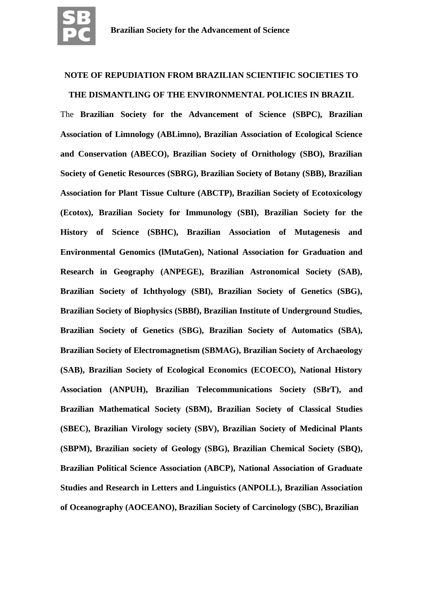

# **NOTE OF REPUDIATION FROM BRAZILIAN SCIENTIFIC SOCIETIES TO**

**THE DISMANTLING OF THE ENVIRONMENTAL POLICIES IN BRAZIL**

# The **Brazilian Society for the Advancement of Science (SBPC), Brazilian Association of Limnology (ABLimno), Brazilian Association of Ecological Science and Conservation (ABECO), Brazilian Society of Ornithology (SBO), Brazilian Society of Genetic Resources (SBRG), Brazilian Society of Botany (SBB), Brazilian Association for Plant Tissue Culture (ABCTP), Brazilian Society of Ecotoxicology (Ecotox), Brazilian Society for Immunology (SBI), Brazilian Society for the History of Science (SBHC), Brazilian Association of Mutagenesis and Environmental Genomics (lMutaGen), National Association for Graduation and Research in Geography (ANPEGE), Brazilian Astronomical Society (SAB), Brazilian Society of Ichthyology (SBI), Brazilian Society of Genetics (SBG), Brazilian Society of Biophysics (SBBf), Brazilian Institute of Underground Studies, Brazilian Society of Genetics (SBG), Brazilian Society of Automatics (SBA), Brazilian Society of Electromagnetism (SBMAG), Brazilian Society of Archaeology (SAB), Brazilian Society of Ecological Economics (ECOECO), National History Association (ANPUH), Brazilian Telecommunications Society (SBrT), and Brazilian Mathematical Society (SBM), Brazilian Society of Classical Studies (SBEC), Brazilian Virology society (SBV), Brazilian Society of Medicinal Plants (SBPM), Brazilian society of Geology (SBG), Brazilian Chemical Society (SBQ), Brazilian Political Science Association (ABCP), National Association of Graduate Studies and Research in Letters and Linguistics (ANPOLL), Brazilian Association of Oceanography (AOCEANO), Brazilian Society of Carcinology (SBC), Brazilian**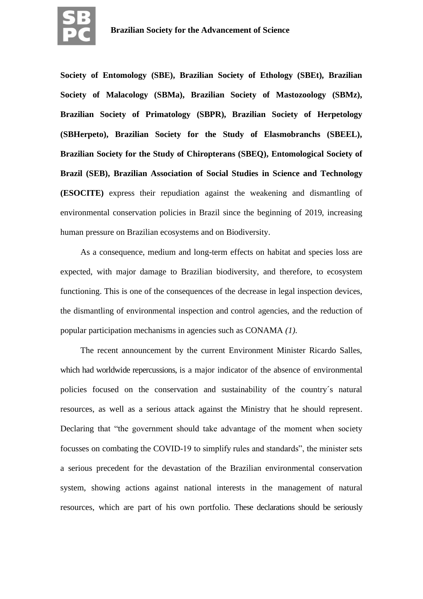

**Society of Entomology (SBE), Brazilian Society of Ethology (SBEt), Brazilian Society of Malacology (SBMa), Brazilian Society of Mastozoology (SBMz), Brazilian Society of Primatology (SBPR), Brazilian Society of Herpetology (SBHerpeto), Brazilian Society for the Study of Elasmobranchs (SBEEL), Brazilian Society for the Study of Chiropterans (SBEQ), Entomological Society of Brazil (SEB), Brazilian Association of Social Studies in Science and Technology (ESOCITE)** express their repudiation against the weakening and dismantling of environmental conservation policies in Brazil since the beginning of 2019, increasing human pressure on Brazilian ecosystems and on Biodiversity.

As a consequence, medium and long-term effects on habitat and species loss are expected, with major damage to Brazilian biodiversity, and therefore, to ecosystem functioning. This is one of the consequences of the decrease in legal inspection devices, the dismantling of environmental inspection and control agencies, and the reduction of popular participation mechanisms in agencies such as CONAMA *(1).*

The recent announcement by the current Environment Minister Ricardo Salles, which had worldwide repercussions, is a major indicator of the absence of environmental policies focused on the conservation and sustainability of the country´s natural resources, as well as a serious attack against the Ministry that he should represent. Declaring that "the government should take advantage of the moment when society focusses on combating the COVID-19 to simplify rules and standards", the minister sets a serious precedent for the devastation of the Brazilian environmental conservation system, showing actions against national interests in the management of natural resources, which are part of his own portfolio. These declarations should be seriously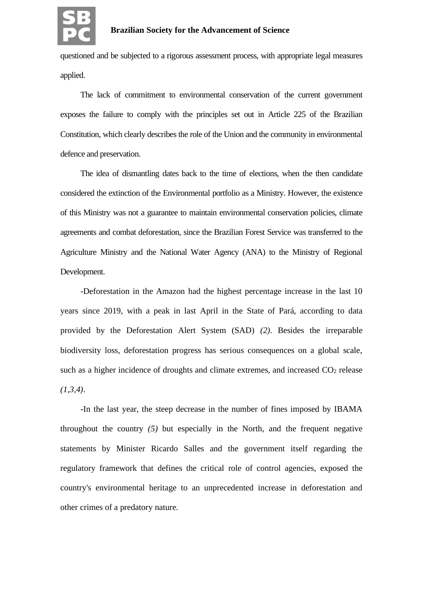

questioned and be subjected to a rigorous assessment process, with appropriate legal measures applied.

The lack of commitment to environmental conservation of the current government exposes the failure to comply with the principles set out in Article 225 of the Brazilian Constitution, which clearly describes the role of the Union and the community in environmental defence and preservation.

The idea of dismantling dates back to the time of elections, when the then candidate considered the extinction of the Environmental portfolio as a Ministry. However, the existence of this Ministry was not a guarantee to maintain environmental conservation policies, climate agreements and combat deforestation, since the Brazilian Forest Service was transferred to the Agriculture Ministry and the National Water Agency (ANA) to the Ministry of Regional Development.

-Deforestation in the Amazon had the highest percentage increase in the last 10 years since 2019, with a peak in last April in the State of Pará, according to data provided by the Deforestation Alert System (SAD) *(2)*. Besides the irreparable biodiversity loss, deforestation progress has serious consequences on a global scale, such as a higher incidence of droughts and climate extremes, and increased  $CO<sub>2</sub>$  release *(1,3,4)*.

-In the last year, the steep decrease in the number of fines imposed by IBAMA throughout the country *(5)* but especially in the North, and the frequent negative statements by Minister Ricardo Salles and the government itself regarding the regulatory framework that defines the critical role of control agencies, exposed the country's environmental heritage to an unprecedented increase in deforestation and other crimes of a predatory nature.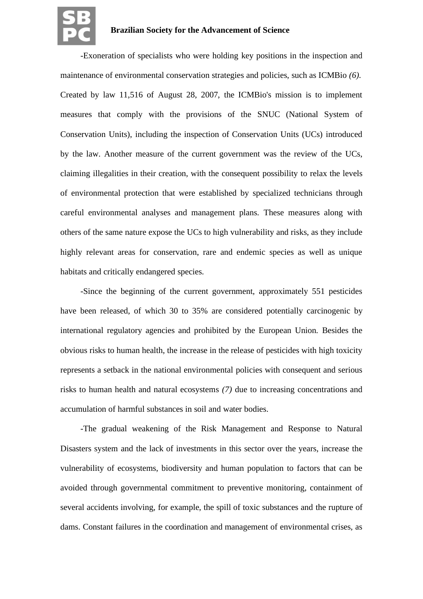

-Exoneration of specialists who were holding key positions in the inspection and maintenance of environmental conservation strategies and policies, such as ICMBio *(6)*. Created by law 11,516 of August 28, 2007, the ICMBio's mission is to implement measures that comply with the provisions of the SNUC (National System of Conservation Units), including the inspection of Conservation Units (UCs) introduced by the law. Another measure of the current government was the review of the UCs, claiming illegalities in their creation, with the consequent possibility to relax the levels of environmental protection that were established by specialized technicians through careful environmental analyses and management plans. These measures along with others of the same nature expose the UCs to high vulnerability and risks, as they include highly relevant areas for conservation, rare and endemic species as well as unique habitats and critically endangered species.

-Since the beginning of the current government, approximately 551 pesticides have been released, of which 30 to 35% are considered potentially carcinogenic by international regulatory agencies and prohibited by the European Union. Besides the obvious risks to human health, the increase in the release of pesticides with high toxicity represents a setback in the national environmental policies with consequent and serious risks to human health and natural ecosystems *(7)* due to increasing concentrations and accumulation of harmful substances in soil and water bodies.

-The gradual weakening of the Risk Management and Response to Natural Disasters system and the lack of investments in this sector over the years, increase the vulnerability of ecosystems, biodiversity and human population to factors that can be avoided through governmental commitment to preventive monitoring, containment of several accidents involving, for example, the spill of toxic substances and the rupture of dams. Constant failures in the coordination and management of environmental crises, as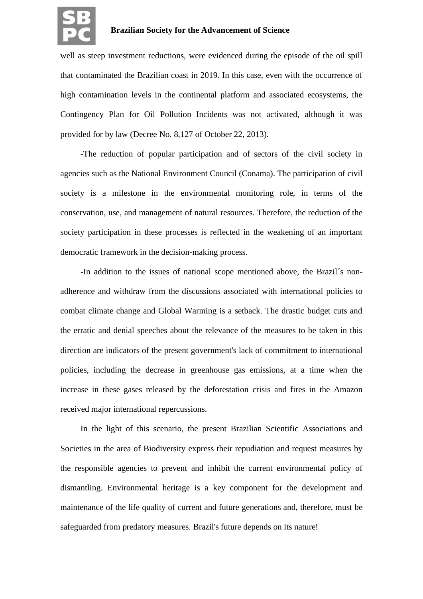

well as steep investment reductions, were evidenced during the episode of the oil spill that contaminated the Brazilian coast in 2019. In this case, even with the occurrence of high contamination levels in the continental platform and associated ecosystems, the Contingency Plan for Oil Pollution Incidents was not activated, although it was provided for by law (Decree No. 8,127 of October 22, 2013).

-The reduction of popular participation and of sectors of the civil society in agencies such as the National Environment Council (Conama). The participation of civil society is a milestone in the environmental monitoring role, in terms of the conservation, use, and management of natural resources. Therefore, the reduction of the society participation in these processes is reflected in the weakening of an important democratic framework in the decision-making process.

-In addition to the issues of national scope mentioned above, the Brazil´s nonadherence and withdraw from the discussions associated with international policies to combat climate change and Global Warming is a setback. The drastic budget cuts and the erratic and denial speeches about the relevance of the measures to be taken in this direction are indicators of the present government's lack of commitment to international policies, including the decrease in greenhouse gas emissions, at a time when the increase in these gases released by the deforestation crisis and fires in the Amazon received major international repercussions.

In the light of this scenario, the present Brazilian Scientific Associations and Societies in the area of Biodiversity express their repudiation and request measures by the responsible agencies to prevent and inhibit the current environmental policy of dismantling. Environmental heritage is a key component for the development and maintenance of the life quality of current and future generations and, therefore, must be safeguarded from predatory measures. Brazil's future depends on its nature!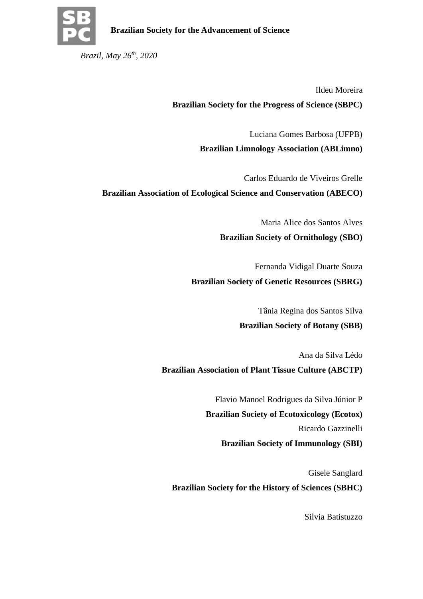

*Brazil, May 26th , 2020*

Ildeu Moreira **Brazilian Society for the Progress of Science (SBPC)**

> Luciana Gomes Barbosa (UFPB) **Brazilian Limnology Association (ABLimno)**

Carlos Eduardo de Viveiros Grelle **Brazilian Association of Ecological Science and Conservation (ABECO)**

> Maria Alice dos Santos Alves **Brazilian Society of Ornithology (SBO)**

> > Fernanda Vidigal Duarte Souza

**Brazilian Society of Genetic Resources (SBRG)**

Tânia Regina dos Santos Silva

# **Brazilian Society of Botany (SBB)**

Ana da Silva Lédo **Brazilian Association of Plant Tissue Culture (ABCTP)**

> Flavio Manoel Rodrigues da Silva Júnior P **Brazilian Society of Ecotoxicology (Ecotox)** Ricardo Gazzinelli **Brazilian Society of Immunology (SBI)**

Gisele Sanglard **Brazilian Society for the History of Sciences (SBHC)**

Silvia Batistuzzo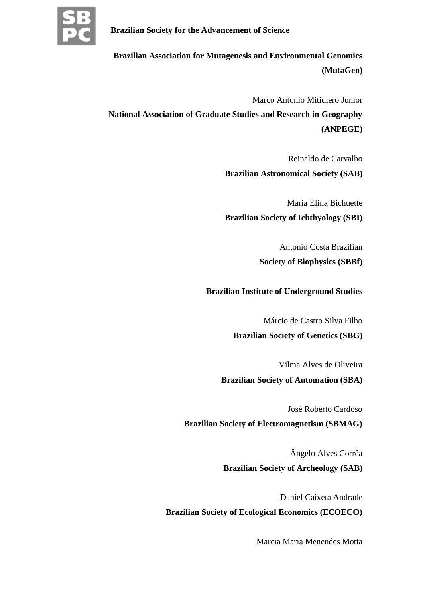

**Brazilian Association for Mutagenesis and Environmental Genomics (MutaGen)**

Marco Antonio Mitidiero Junior

**National Association of Graduate Studies and Research in Geography (ANPEGE)**

Reinaldo de Carvalho

**Brazilian Astronomical Society (SAB)**

Maria Elina Bichuette **Brazilian Society of Ichthyology (SBI)**

> Antonio Costa Brazilian **Society of Biophysics (SBBf)**

**Brazilian Institute of Underground Studies**

Márcio de Castro Silva Filho

**Brazilian Society of Genetics (SBG)**

Vilma Alves de Oliveira

**Brazilian Society of Automation (SBA)**

José Roberto Cardoso

**Brazilian Society of Electromagnetism (SBMAG)**

Ângelo Alves Corrêa **Brazilian Society of Archeology (SAB)**

Daniel Caixeta Andrade **Brazilian Society of Ecological Economics (ECOECO)**

Marcia Maria Menendes Motta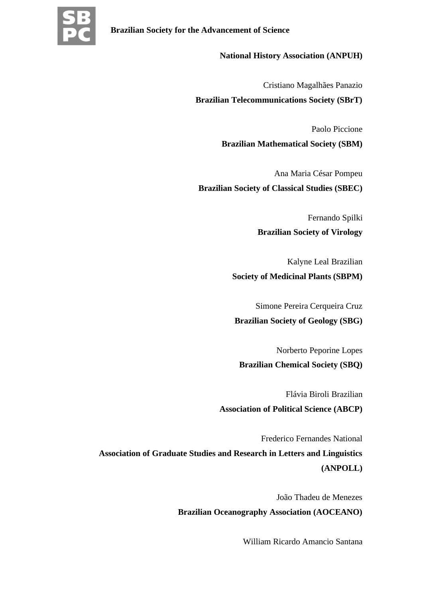

#### **National History Association (ANPUH)**

Cristiano Magalhães Panazio

**Brazilian Telecommunications Society (SBrT)**

Paolo Piccione **Brazilian Mathematical Society (SBM)**

Ana Maria César Pompeu **Brazilian Society of Classical Studies (SBEC)**

> Fernando Spilki **Brazilian Society of Virology**

> > Kalyne Leal Brazilian

# **Society of Medicinal Plants (SBPM)**

Simone Pereira Cerqueira Cruz

**Brazilian Society of Geology (SBG)**

Norberto Peporine Lopes **Brazilian Chemical Society (SBQ)**

Flávia Biroli Brazilian **Association of Political Science (ABCP)**

Frederico Fernandes National **Association of Graduate Studies and Research in Letters and Linguistics (ANPOLL)**

> João Thadeu de Menezes **Brazilian Oceanography Association (AOCEANO)**

> > William Ricardo Amancio Santana